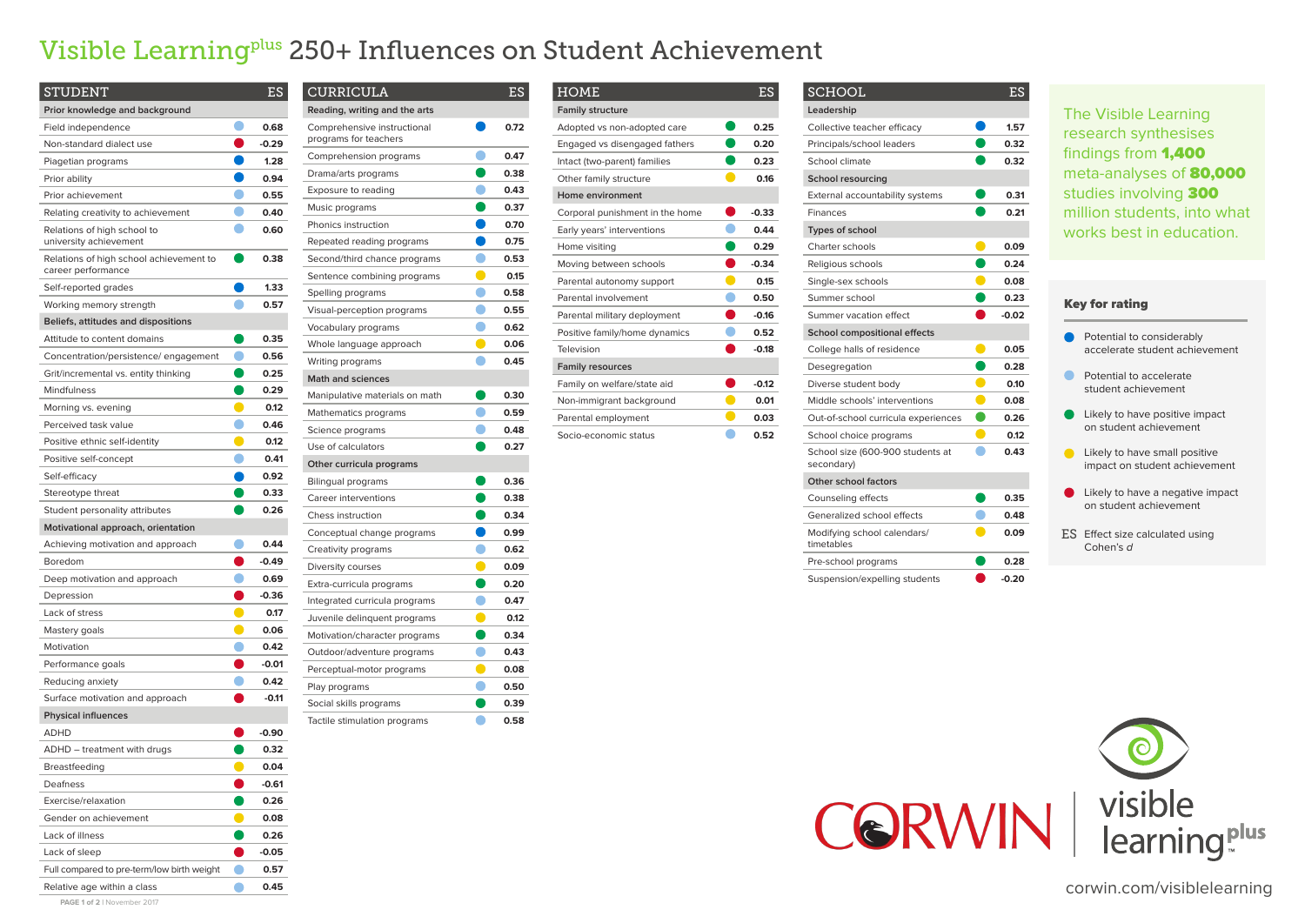| <b>STUDENT</b>                                                |        | ES      |
|---------------------------------------------------------------|--------|---------|
| Prior knowledge and background                                |        |         |
| Field independence                                            |        | 0.68    |
| Non-standard dialect use                                      |        | $-0.29$ |
| Piagetian programs                                            |        | 1.28    |
| Prior ability                                                 |        | 0.94    |
| Prior achievement                                             |        | 0.55    |
| Relating creativity to achievement                            |        | 0.40    |
| Relations of high school to<br>university achievement         |        | 0.60    |
| Relations of high school achievement to<br>career performance |        | 0.38    |
| Self-reported grades                                          |        | 1,33    |
| Working memory strength                                       |        | 0.57    |
| Beliefs, attitudes and dispositions                           |        |         |
| Attitude to content domains                                   |        | 0.35    |
| Concentration/persistence/engagement                          |        | 0.56    |
| Grit/incremental vs. entity thinking                          | O      | 0.25    |
| Mindfulness                                                   | O      | 0.29    |
| Morning vs. evening                                           | ė      | 0.12    |
| Perceived task value                                          |        | 0.46    |
| Positive ethnic self-identity                                 | O      | 0.12    |
| Positive self-concept                                         |        | 0.41    |
| Self-efficacy                                                 |        | 0.92    |
| Stereotype threat                                             |        | 0.33    |
| Student personality attributes                                |        | 0.26    |
| Motivational approach, orientation                            |        |         |
| Achieving motivation and approach                             |        | 0.44    |
| Boredom                                                       |        | $-0.49$ |
| Deep motivation and approach                                  |        | 0.69    |
| Depression                                                    |        | $-0.36$ |
| Lack of stress                                                |        | 0.17    |
| Mastery goals                                                 |        | 0.06    |
| Motivation                                                    |        | 0.42    |
| Performance goals                                             |        | $-0.01$ |
| Reducing anxiety                                              |        | 0.42    |
| Surface motivation and approach                               |        | $-0.11$ |
| <b>Physical influences</b>                                    |        |         |
| <b>ADHD</b>                                                   |        | $-0.90$ |
| ADHD - treatment with drugs                                   |        | 0.32    |
| Breastfeeding                                                 |        | 0.04    |
| Deafness                                                      | l<br>a | $-0.61$ |
| Exercise/relaxation                                           |        | 0.26    |
| Gender on achievement                                         |        | 0.08    |
| Lack of illness                                               |        | 0.26    |
| Lack of sleep                                                 |        | $-0.05$ |
| Full compared to pre-term/low birth weight                    |        | 0.57    |
| Relative age within a class                                   |        | 0.45    |

| <b>CURRICULA</b>                                     |          | ES   |
|------------------------------------------------------|----------|------|
| Reading, writing and the arts                        |          |      |
| Comprehensive instructional<br>programs for teachers |          | 0.72 |
| Comprehension programs                               | rii<br>L | 0.47 |
| Drama/arts programs                                  |          | 0.38 |
| Exposure to reading                                  |          | 0.43 |
| Music programs                                       |          | 0.37 |
| Phonics instruction                                  |          | 0.70 |
| Repeated reading programs                            | ſ        | 0.75 |
| Second/third chance programs                         |          | 0.53 |
| Sentence combining programs                          | O        | 0.15 |
| Spelling programs                                    |          | 0.58 |
| Visual-perception programs                           |          | 0.55 |
| Vocabulary programs                                  |          | 0.62 |
| Whole language approach                              |          | 0.06 |
| Writing programs                                     |          | 0.45 |
| <b>Math and sciences</b>                             |          |      |
| Manipulative materials on math                       |          | 0.30 |
| Mathematics programs                                 |          | 0.59 |
| Science programs                                     |          | 0.48 |
| Use of calculators                                   |          | 0.27 |
| Other curricula programs                             |          |      |
| <b>Bilingual programs</b>                            |          | 0.36 |
| Career interventions                                 |          | 0.38 |
| Chess instruction                                    |          | 0.34 |
| Conceptual change programs                           |          | 0.99 |
| Creativity programs                                  |          | 0.62 |
| Diversity courses                                    |          | 0.09 |
| Extra-curricula programs                             |          | 0.20 |
| Integrated curricula programs                        |          | 0.47 |
| Juvenile delinquent programs                         |          | 0.12 |
| Motivation/character programs                        |          | 0.34 |
| Outdoor/adventure programs                           |          | 0.43 |
| Perceptual-motor programs                            |          | 0.08 |
| Play programs                                        |          | 0.50 |
| Social skills programs                               |          | 0.39 |
| Tactile stimulation programs                         |          | 0.58 |
|                                                      |          |      |

| <b>SCHOOL</b>                                  | <b>ES</b> |                                                                                  |
|------------------------------------------------|-----------|----------------------------------------------------------------------------------|
| Leadership                                     |           | The Visible Learning                                                             |
| Collective teacher efficacy                    | 1.57      | research synthesises                                                             |
| Principals/school leaders                      | 0.32      |                                                                                  |
| School climate                                 | 0.32      | findings from <b>1,400</b>                                                       |
| <b>School resourcing</b>                       |           | meta-analyses of 80,000                                                          |
| External accountability systems                | 0.31      | studies involving 300                                                            |
| <b>Finances</b>                                | 0.21      | million students, into what                                                      |
| Types of school                                |           | works best in education.                                                         |
| Charter schools                                | 0.09      |                                                                                  |
| Religious schools                              | 0.24      |                                                                                  |
| o<br>Single-sex schools                        | 0.08      |                                                                                  |
| Summer school                                  | 0.23      | <b>Key for rating</b>                                                            |
| Summer vacation effect                         | $-0.02$   |                                                                                  |
| <b>School compositional effects</b>            |           | Potential to considerably                                                        |
| $\bullet$<br>College halls of residence        | 0.05      | accelerate student achievement                                                   |
| Desegregation                                  | 0.28      |                                                                                  |
| o<br>Diverse student body                      | 0.10      | Potential to accelerate<br>student achievement                                   |
| $\bullet$<br>Middle schools' interventions     | 0.08      |                                                                                  |
| Out-of-school curricula experiences            | 0.26      | Likely to have positive impact<br>n.                                             |
| $\blacksquare$<br>School choice programs       | 0.12      | on student achievement                                                           |
| School size (600-900 students at<br>secondary) | 0.43      | Likely to have small positive<br>$\blacksquare$<br>impact on student achievement |
| Other school factors                           |           |                                                                                  |
| Counseling effects                             | 0.35      | Likely to have a negative impact<br>on student achievement                       |
| Generalized school effects                     | 0.48      |                                                                                  |
| Modifying school calendars/<br>timetables      | 0.09      | ES Effect size calculated using<br>Cohen's d                                     |
| Pre-school programs                            | 0.28      |                                                                                  |
| Suspension/expelling students                  | $-0.20$   |                                                                                  |



| <b>HOME</b>                     |                   | ES      |
|---------------------------------|-------------------|---------|
| <b>Family structure</b>         |                   |         |
| Adopted vs non-adopted care     | eria<br>Kabupatèn | 0.25    |
| Engaged vs disengaged fathers   |                   | 0.20    |
| Intact (two-parent) families    |                   | 0.23    |
| Other family structure          |                   | 0.16    |
| Home environment                |                   |         |
| Corporal punishment in the home |                   | $-0.33$ |
| Early years' interventions      |                   | 0.44    |
| Home visiting                   | Ò                 | 0.29    |
| Moving between schools          | 0                 | $-0.34$ |
| Parental autonomy support       | r                 | 0.15    |
| Parental involvement            |                   | 0.50    |
| Parental military deployment    | n                 | $-0.16$ |
| Positive family/home dynamics   |                   | 0.52    |
| Television                      |                   | $-0.18$ |
| <b>Family resources</b>         |                   |         |
| Family on welfare/state aid     |                   | $-0.12$ |
| Non-immigrant background        | п                 | 0.01    |
| Parental employment             |                   | 0.03    |
| Socio-economic status           |                   | 0.52    |

# Visible Learningplus 250+ Influences on Student Achievement

corwin.com/visiblelearning

**PAGE 1 of 2 |** November 2017